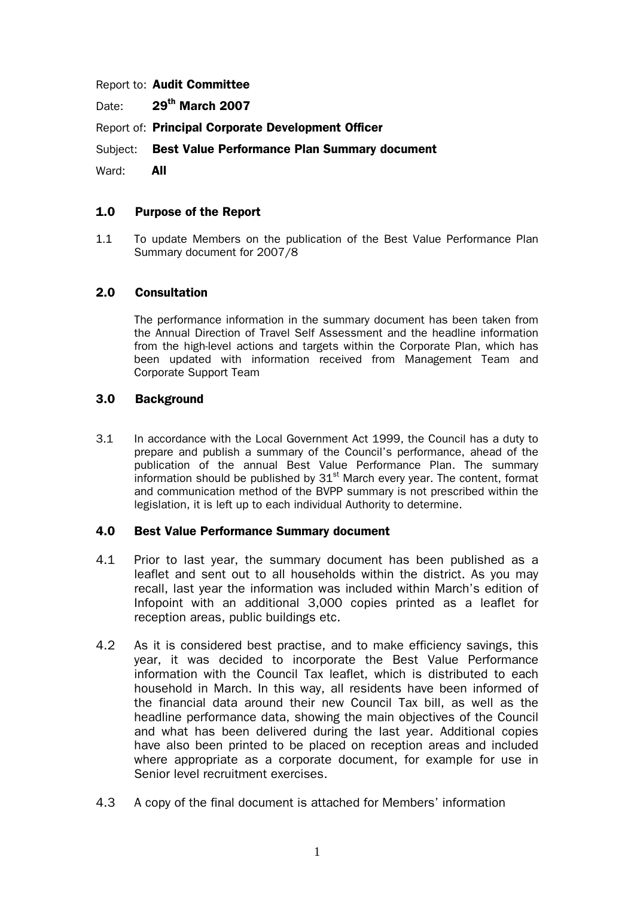Report to: Audit Committee

Date: 29<sup>th</sup> March 2007

Report of: Principal Corporate Development Officer

Subject: Best Value Performance Plan Summary document

Ward: **All** 

### 1.0 Purpose of the Report

1.1 To update Members on the publication of the Best Value Performance Plan Summary document for 2007/8

### 2.0 Consultation

The performance information in the summary document has been taken from the Annual Direction of Travel Self Assessment and the headline information from the high-level actions and targets within the Corporate Plan, which has been updated with information received from Management Team and Corporate Support Team

### 3.0 Background

3.1 In accordance with the Local Government Act 1999, the Council has a duty to prepare and publish a summary of the Council's performance, ahead of the publication of the annual Best Value Performance Plan. The summary information should be published by  $31<sup>st</sup>$  March every year. The content, format and communication method of the BVPP summary is not prescribed within the legislation, it is left up to each individual Authority to determine.

### 4.0 Best Value Performance Summary document

- 4.1 Prior to last year, the summary document has been published as a leaflet and sent out to all households within the district. As you may recall, last year the information was included within March's edition of Infopoint with an additional 3,000 copies printed as a leaflet for reception areas, public buildings etc.
- 4.2 As it is considered best practise, and to make efficiency savings, this year, it was decided to incorporate the Best Value Performance information with the Council Tax leaflet, which is distributed to each household in March. In this way, all residents have been informed of the financial data around their new Council Tax bill, as well as the headline performance data, showing the main objectives of the Council and what has been delivered during the last year. Additional copies have also been printed to be placed on reception areas and included where appropriate as a corporate document, for example for use in Senior level recruitment exercises.
- 4.3 A copy of the final document is attached for Members' information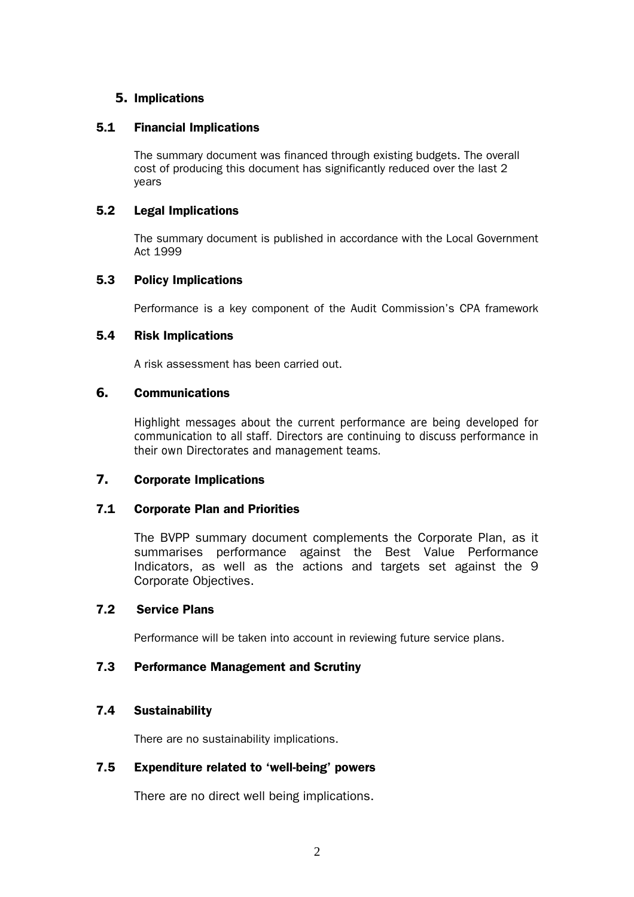### **5.** Implications

### 5.1 Financial Implications

The summary document was financed through existing budgets. The overall cost of producing this document has significantly reduced over the last 2 years

### 5.2 Legal Implications

The summary document is published in accordance with the Local Government Act 1999

### 5.3 Policy Implications

Performance is a key component of the Audit Commission's CPA framework

### 5.4 Risk Implications

A risk assessment has been carried out.

### **6.** Communications

Highlight messages about the current performance are being developed for communication to all staff. Directors are continuing to discuss performance in their own Directorates and management teams.

### **7.** Corporate Implications

# 7.1 Corporate Plan and Priorities

The BVPP summary document complements the Corporate Plan, as it summarises performance against the Best Value Performance Indicators, as well as the actions and targets set against the 9 Corporate Objectives.

### 7.2 Service Plans

Performance will be taken into account in reviewing future service plans.

# 7.3 Performance Management and Scrutiny

# 7.4 Sustainability

There are no sustainability implications.

# 7.5 Expenditure related to 'well-being' powers

There are no direct well being implications.